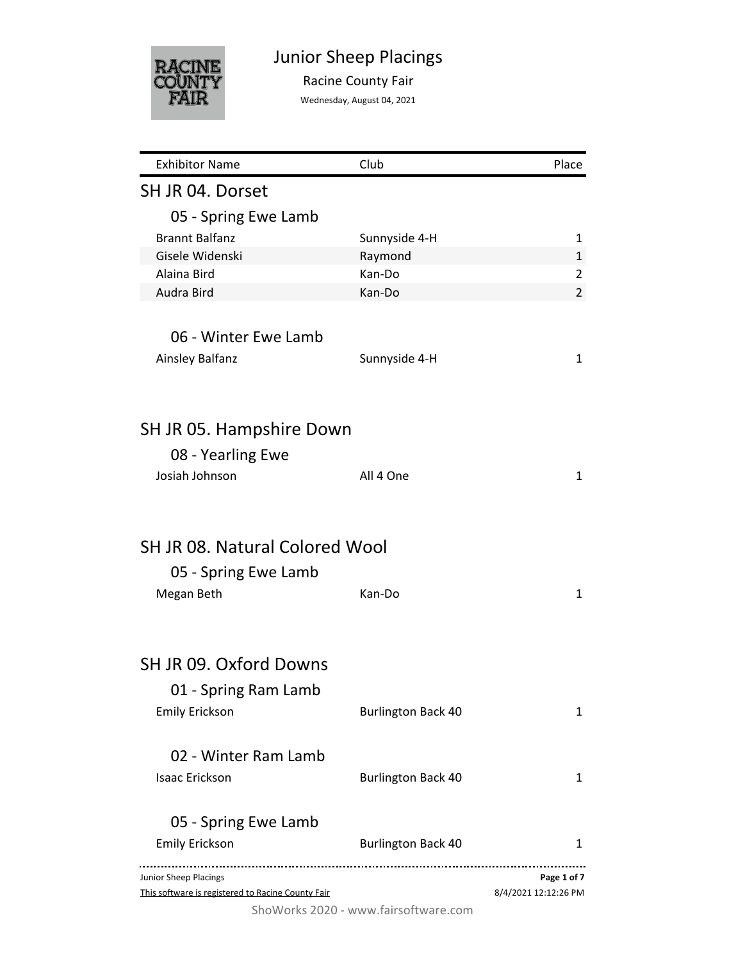

# Junior Sheep Placings

Racine County Fair

Wednesday, August 04, 2021

| <b>Exhibitor Name</b>                             | Club                                 | Place                |
|---------------------------------------------------|--------------------------------------|----------------------|
| SH JR 04. Dorset                                  |                                      |                      |
| 05 - Spring Ewe Lamb                              |                                      |                      |
| <b>Brannt Balfanz</b>                             | Sunnyside 4-H                        | 1                    |
| Gisele Widenski                                   | Raymond                              | 1                    |
| Alaina Bird                                       | Kan-Do                               | 2                    |
| Audra Bird                                        | Kan-Do                               | $\overline{2}$       |
| 06 - Winter Ewe Lamb                              |                                      |                      |
| Ainsley Balfanz                                   | Sunnyside 4-H                        | 1                    |
|                                                   |                                      |                      |
| SH JR 05. Hampshire Down                          |                                      |                      |
| 08 - Yearling Ewe                                 |                                      |                      |
| Josiah Johnson                                    | All 4 One                            | 1                    |
|                                                   |                                      |                      |
| <b>SH JR 08. Natural Colored Wool</b>             |                                      |                      |
| 05 - Spring Ewe Lamb                              |                                      |                      |
| Megan Beth                                        | Kan-Do                               | 1                    |
|                                                   |                                      |                      |
| SH JR 09. Oxford Downs                            |                                      |                      |
|                                                   |                                      |                      |
| 01 - Spring Ram Lamb                              |                                      |                      |
| <b>Emily Erickson</b>                             | <b>Burlington Back 40</b>            | 1                    |
| 02 - Winter Ram Lamb                              |                                      |                      |
| <b>Isaac Erickson</b>                             | <b>Burlington Back 40</b>            | 1                    |
| 05 - Spring Ewe Lamb                              |                                      |                      |
| <b>Emily Erickson</b>                             | <b>Burlington Back 40</b>            | 1                    |
| Junior Sheep Placings                             |                                      | Page 1 of 7          |
| This software is registered to Racine County Fair |                                      | 8/4/2021 12:12:26 PM |
|                                                   | ShoWorks 2020 - www.fairsoftware.com |                      |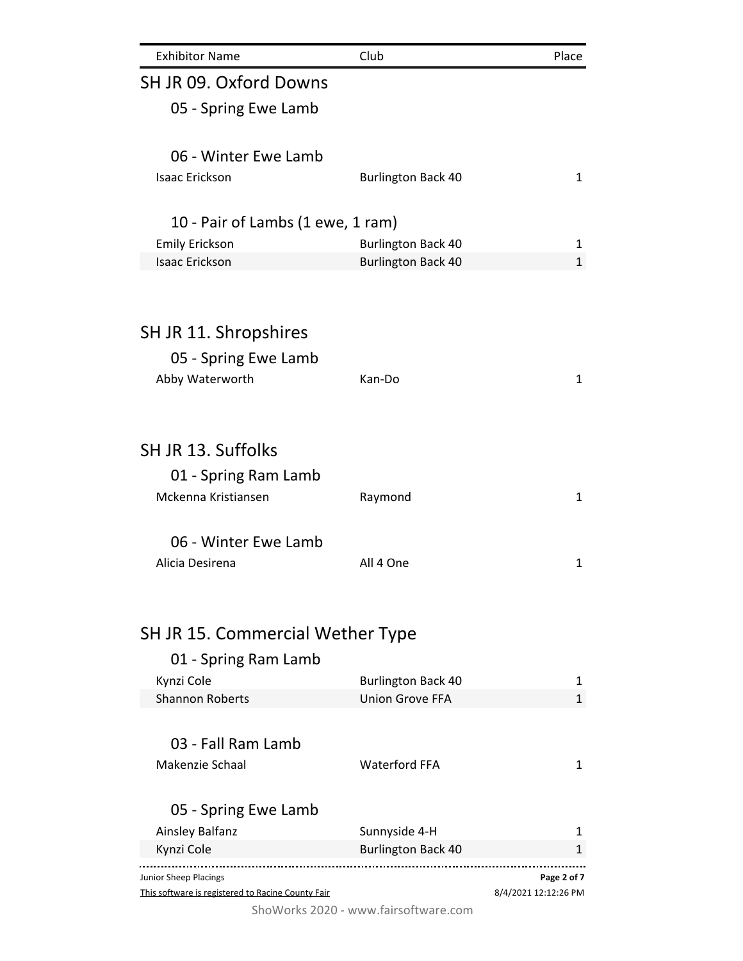| <b>Exhibitor Name</b>                                                      | Club                                       | Place                               |
|----------------------------------------------------------------------------|--------------------------------------------|-------------------------------------|
| SH JR 09. Oxford Downs                                                     |                                            |                                     |
| 05 - Spring Ewe Lamb                                                       |                                            |                                     |
|                                                                            |                                            |                                     |
| 06 - Winter Ewe Lamb                                                       |                                            |                                     |
| <b>Isaac Erickson</b>                                                      | <b>Burlington Back 40</b>                  | 1                                   |
|                                                                            |                                            |                                     |
| 10 - Pair of Lambs (1 ewe, 1 ram)                                          |                                            |                                     |
| <b>Emily Erickson</b>                                                      | <b>Burlington Back 40</b>                  | 1                                   |
| <b>Isaac Erickson</b>                                                      | <b>Burlington Back 40</b>                  | $\mathbf{1}$                        |
|                                                                            |                                            |                                     |
|                                                                            |                                            |                                     |
| SH JR 11. Shropshires                                                      |                                            |                                     |
| 05 - Spring Ewe Lamb                                                       |                                            |                                     |
| Abby Waterworth                                                            | Kan-Do                                     | 1                                   |
|                                                                            |                                            |                                     |
|                                                                            |                                            |                                     |
| SH JR 13. Suffolks                                                         |                                            |                                     |
| 01 - Spring Ram Lamb                                                       |                                            |                                     |
| Mckenna Kristiansen                                                        | Raymond                                    | 1                                   |
|                                                                            |                                            |                                     |
| 06 - Winter Ewe Lamb                                                       |                                            |                                     |
| Alicia Desirena                                                            | All 4 One                                  | 1                                   |
|                                                                            |                                            |                                     |
|                                                                            |                                            |                                     |
| SH JR 15. Commercial Wether Type                                           |                                            |                                     |
| 01 - Spring Ram Lamb                                                       |                                            |                                     |
| Kynzi Cole                                                                 | <b>Burlington Back 40</b>                  | 1                                   |
| <b>Shannon Roberts</b>                                                     | <b>Union Grove FFA</b>                     | $\mathbf{1}$                        |
|                                                                            |                                            |                                     |
| 03 - Fall Ram Lamb                                                         |                                            |                                     |
| Makenzie Schaal                                                            | <b>Waterford FFA</b>                       | 1                                   |
|                                                                            |                                            |                                     |
| 05 - Spring Ewe Lamb                                                       |                                            |                                     |
| Ainsley Balfanz<br>Kynzi Cole                                              | Sunnyside 4-H<br><b>Burlington Back 40</b> | 1<br>1                              |
|                                                                            |                                            |                                     |
| Junior Sheep Placings<br>This software is registered to Racine County Fair |                                            | Page 2 of 7<br>8/4/2021 12:12:26 PM |
|                                                                            |                                            |                                     |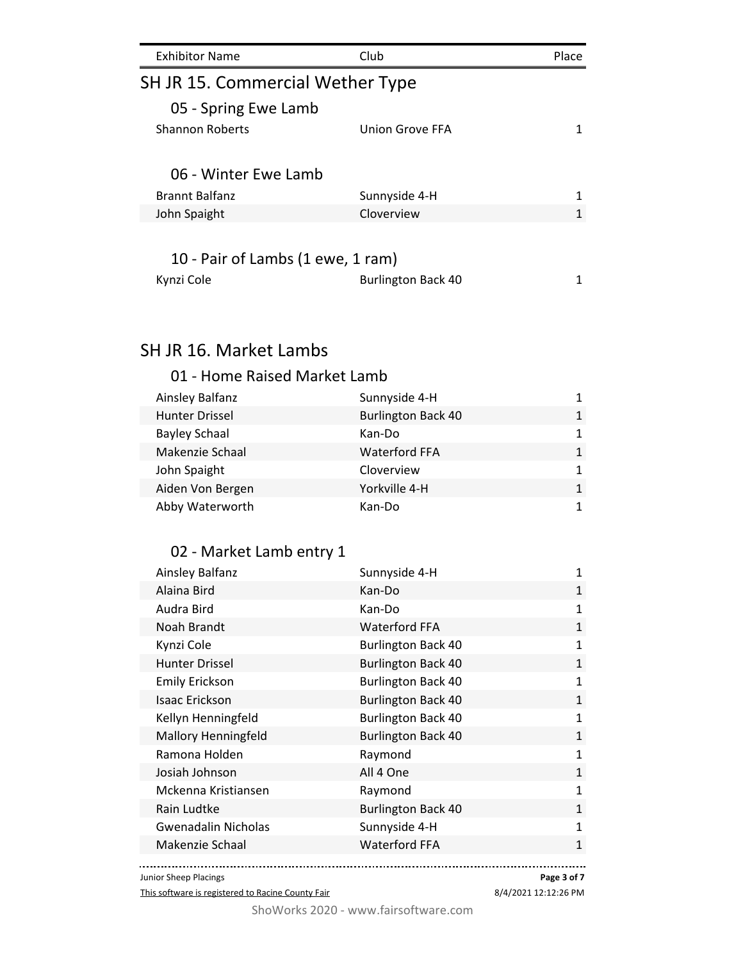| <b>Exhibitor Name</b>             | Club            | Place |  |  |
|-----------------------------------|-----------------|-------|--|--|
| SH JR 15. Commercial Wether Type  |                 |       |  |  |
| 05 - Spring Ewe Lamb              |                 |       |  |  |
| <b>Shannon Roberts</b>            | Union Grove FFA |       |  |  |
| 06 - Winter Ewe Lamb              |                 |       |  |  |
| <b>Brannt Balfanz</b>             | Sunnyside 4-H   | 1     |  |  |
| John Spaight                      | Cloverview      | 1     |  |  |
| 10 - Pair of Lambs (1 ewe, 1 ram) |                 |       |  |  |

| Kynzi Cole |  | <b>Burlington Back 40</b> |  |
|------------|--|---------------------------|--|

### 01 - Home Raised Market Lamb

| Ainsley Balfanz       | Sunnyside 4-H             | 1            |
|-----------------------|---------------------------|--------------|
| <b>Hunter Drissel</b> | <b>Burlington Back 40</b> | $\mathbf{1}$ |
| <b>Bayley Schaal</b>  | Kan-Do                    | 1            |
| Makenzie Schaal       | <b>Waterford FFA</b>      | $\mathbf{1}$ |
| John Spaight          | Cloverview                | 1.           |
| Aiden Von Bergen      | Yorkville 4-H             | $\mathbf{1}$ |
| Abby Waterworth       | Kan-Do                    |              |

## 02 - Market Lamb entry 1

| Ainsley Balfanz            | Sunnyside 4-H             | 1            |
|----------------------------|---------------------------|--------------|
| Alaina Bird                | Kan-Do                    | 1            |
| Audra Bird                 | Kan-Do                    | $\mathbf{1}$ |
| Noah Brandt                | <b>Waterford FFA</b>      | $\mathbf{1}$ |
| Kynzi Cole                 | <b>Burlington Back 40</b> | $\mathbf{1}$ |
| <b>Hunter Drissel</b>      | <b>Burlington Back 40</b> | $\mathbf{1}$ |
| <b>Emily Erickson</b>      | <b>Burlington Back 40</b> | 1            |
| Isaac Erickson             | <b>Burlington Back 40</b> | $\mathbf{1}$ |
| Kellyn Henningfeld         | <b>Burlington Back 40</b> | $\mathbf{1}$ |
| <b>Mallory Henningfeld</b> | <b>Burlington Back 40</b> | $\mathbf{1}$ |
| Ramona Holden              | Raymond                   | $\mathbf{1}$ |
| Josiah Johnson             | All 4 One                 | $\mathbf{1}$ |
| Mckenna Kristiansen        | Raymond                   | $\mathbf{1}$ |
| Rain Ludtke                | <b>Burlington Back 40</b> | $\mathbf{1}$ |
| <b>Gwenadalin Nicholas</b> | Sunnyside 4-H             | $\mathbf{1}$ |
| Makenzie Schaal            | <b>Waterford FFA</b>      | $\mathbf{1}$ |
|                            |                           |              |

Junior Sheep Placings

This software is registered to Racine County Fair

**Page 3 of 7**

8/4/2021 12:12:26 PM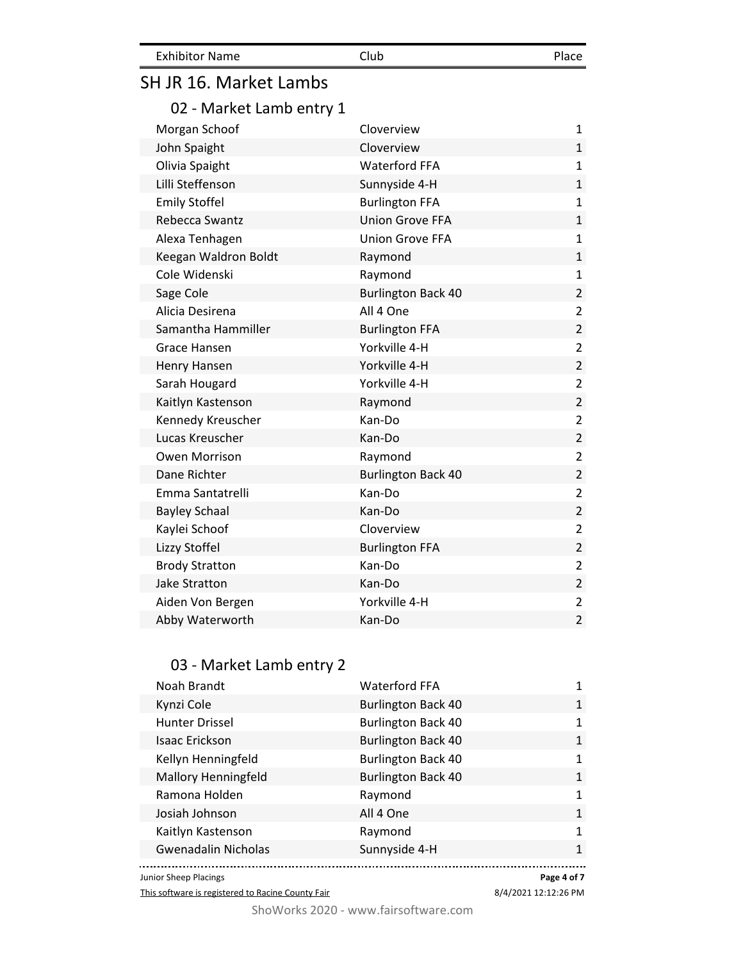| <b>Exhibitor Name</b> | Club | Place |
|-----------------------|------|-------|
|                       |      |       |

## 02 - Market Lamb entry 1

| Morgan Schoof         | Cloverview                | $\mathbf{1}$   |
|-----------------------|---------------------------|----------------|
| John Spaight          | Cloverview                | $\mathbf{1}$   |
| Olivia Spaight        | <b>Waterford FFA</b>      | $\mathbf{1}$   |
| Lilli Steffenson      | Sunnyside 4-H             | $\mathbf{1}$   |
| <b>Emily Stoffel</b>  | <b>Burlington FFA</b>     | $\mathbf{1}$   |
| Rebecca Swantz        | <b>Union Grove FFA</b>    | $\mathbf{1}$   |
| Alexa Tenhagen        | <b>Union Grove FFA</b>    | $\mathbf{1}$   |
| Keegan Waldron Boldt  | Raymond                   | $\mathbf{1}$   |
| Cole Widenski         | Raymond                   | $\mathbf{1}$   |
| Sage Cole             | <b>Burlington Back 40</b> | $\overline{2}$ |
| Alicia Desirena       | All 4 One                 | $\overline{2}$ |
| Samantha Hammiller    | <b>Burlington FFA</b>     | $\overline{2}$ |
| Grace Hansen          | Yorkville 4-H             | $\overline{2}$ |
| Henry Hansen          | Yorkville 4-H             | $\overline{2}$ |
| Sarah Hougard         | Yorkville 4-H             | $\overline{2}$ |
| Kaitlyn Kastenson     | Raymond                   | $\overline{2}$ |
| Kennedy Kreuscher     | Kan-Do                    | $\overline{2}$ |
| Lucas Kreuscher       | Kan-Do                    | $\overline{2}$ |
| Owen Morrison         | Raymond                   | $\overline{2}$ |
| Dane Richter          | <b>Burlington Back 40</b> | $\overline{2}$ |
| Emma Santatrelli      | Kan-Do                    | $\overline{2}$ |
| <b>Bayley Schaal</b>  | Kan-Do                    | $\overline{2}$ |
| Kaylei Schoof         | Cloverview                | $\overline{2}$ |
| Lizzy Stoffel         | <b>Burlington FFA</b>     | $\overline{2}$ |
| <b>Brody Stratton</b> | Kan-Do                    | $\overline{2}$ |
| <b>Jake Stratton</b>  | Kan-Do                    | $\overline{2}$ |
| Aiden Von Bergen      | Yorkville 4-H             | $\overline{2}$ |
| Abby Waterworth       | Kan-Do                    | $\overline{2}$ |

### 03 - Market Lamb entry 2

| Noah Brandt                | <b>Waterford FFA</b>      |              |
|----------------------------|---------------------------|--------------|
| Kynzi Cole                 | <b>Burlington Back 40</b> | 1            |
| Hunter Drissel             | <b>Burlington Back 40</b> | 1            |
| <b>Isaac Erickson</b>      | <b>Burlington Back 40</b> | 1            |
| Kellyn Henningfeld         | <b>Burlington Back 40</b> | 1            |
| <b>Mallory Henningfeld</b> | <b>Burlington Back 40</b> | 1            |
| Ramona Holden              | Raymond                   | 1            |
| Josiah Johnson             | All 4 One                 | $\mathbf{1}$ |
| Kaitlyn Kastenson          | Raymond                   | $\mathbf{1}$ |
| <b>Gwenadalin Nicholas</b> | Sunnyside 4-H             | $\mathbf{1}$ |
| unior Sheep Placings       |                           | Page 4 of 7  |

Junior Sheep Placings

This software is registered to Racine County Fair

8/4/2021 12:12:26 PM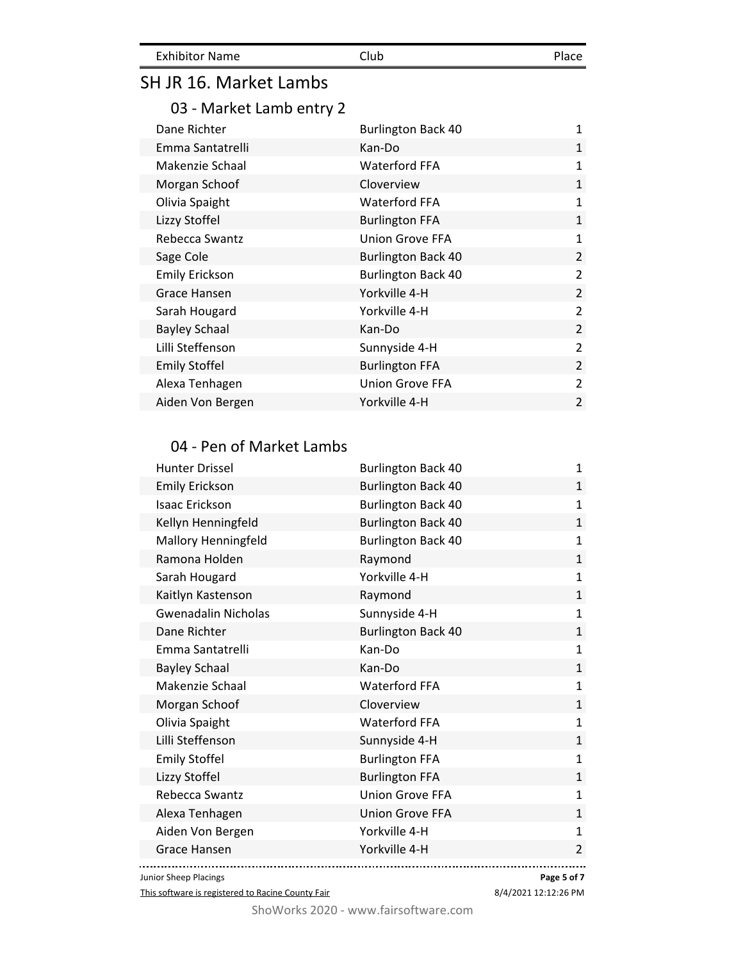| <b>Exhibitor Name</b> | Club | Place |
|-----------------------|------|-------|
|                       |      |       |

03 - Market Lamb entry 2

| Dane Richter          | <b>Burlington Back 40</b> | $\mathbf{1}$   |
|-----------------------|---------------------------|----------------|
| Emma Santatrelli      | Kan-Do                    | 1              |
| Makenzie Schaal       | <b>Waterford FFA</b>      | 1              |
| Morgan Schoof         | Cloverview                | $\mathbf{1}$   |
| Olivia Spaight        | <b>Waterford FFA</b>      | 1              |
| Lizzy Stoffel         | <b>Burlington FFA</b>     | 1              |
| Rebecca Swantz        | <b>Union Grove FFA</b>    | $\mathbf{1}$   |
| Sage Cole             | <b>Burlington Back 40</b> | 2              |
| <b>Emily Erickson</b> | <b>Burlington Back 40</b> | $\overline{2}$ |
| Grace Hansen          | Yorkville 4-H             | $\overline{2}$ |
| Sarah Hougard         | Yorkville 4-H             | $\overline{2}$ |
| <b>Bayley Schaal</b>  | Kan-Do                    | 2              |
| Lilli Steffenson      | Sunnyside 4-H             | $\overline{2}$ |
| <b>Emily Stoffel</b>  | <b>Burlington FFA</b>     | 2              |
| Alexa Tenhagen        | <b>Union Grove FFA</b>    | $\overline{2}$ |
| Aiden Von Bergen      | Yorkville 4-H             | $\overline{2}$ |

### 04 - Pen of Market Lambs

| <b>Hunter Drissel</b>      | <b>Burlington Back 40</b> | $\mathbf{1}$   |
|----------------------------|---------------------------|----------------|
| <b>Emily Erickson</b>      | <b>Burlington Back 40</b> | $\mathbf{1}$   |
| <b>Isaac Erickson</b>      | <b>Burlington Back 40</b> | $\mathbf{1}$   |
| Kellyn Henningfeld         | <b>Burlington Back 40</b> | $\mathbf{1}$   |
| Mallory Henningfeld        | <b>Burlington Back 40</b> | $\mathbf{1}$   |
| Ramona Holden              | Raymond                   | $\mathbf{1}$   |
| Sarah Hougard              | Yorkville 4-H             | $\mathbf{1}$   |
| Kaitlyn Kastenson          | Raymond                   | $\mathbf{1}$   |
| <b>Gwenadalin Nicholas</b> | Sunnyside 4-H             | $\mathbf{1}$   |
| Dane Richter               | <b>Burlington Back 40</b> | $\mathbf{1}$   |
| Emma Santatrelli           | Kan-Do                    | $\mathbf{1}$   |
| <b>Bayley Schaal</b>       | Kan-Do                    | $\mathbf{1}$   |
| Makenzie Schaal            | Waterford FFA             | $\mathbf{1}$   |
| Morgan Schoof              | Cloverview                | $\mathbf{1}$   |
| Olivia Spaight             | <b>Waterford FFA</b>      | $\mathbf{1}$   |
| Lilli Steffenson           | Sunnyside 4-H             | $\mathbf{1}$   |
| <b>Emily Stoffel</b>       | <b>Burlington FFA</b>     | $\mathbf{1}$   |
| Lizzy Stoffel              | <b>Burlington FFA</b>     | $\mathbf{1}$   |
| Rebecca Swantz             | <b>Union Grove FFA</b>    | $\mathbf{1}$   |
| Alexa Tenhagen             | <b>Union Grove FFA</b>    | $\mathbf{1}$   |
| Aiden Von Bergen           | Yorkville 4-H             | $\mathbf{1}$   |
| <b>Grace Hansen</b>        | Yorkville 4-H             | $\overline{2}$ |
|                            |                           |                |

Junior Sheep Placings

This software is registered to Racine County Fair

8/4/2021 12:12:26 PM **Page 5 of 7**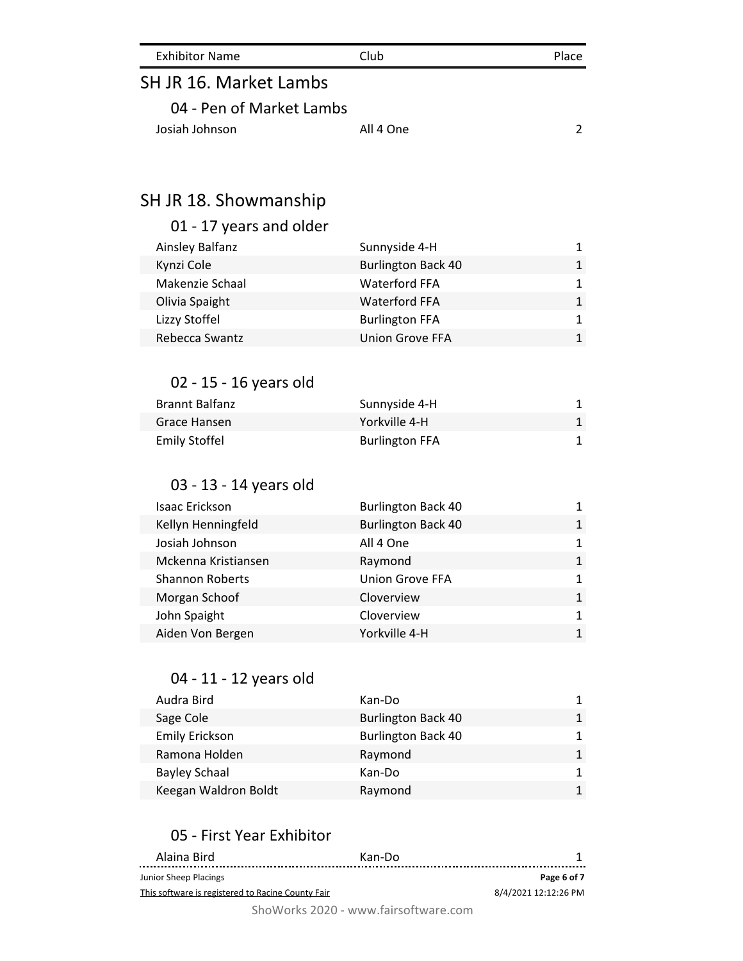| <b>Exhibitor Name</b> | Club | Place |
|-----------------------|------|-------|
| $C111RACRA-L11L12L1$  |      |       |

| 04 - Pen of Market Lambs |           |  |
|--------------------------|-----------|--|
| Josiah Johnson           | All 4 One |  |

## SH JR 18. Showmanship

## 01 - 17 years and older

| Ainsley Balfanz | Sunnyside 4-H             | 1  |
|-----------------|---------------------------|----|
| Kynzi Cole      | <b>Burlington Back 40</b> | 1  |
| Makenzie Schaal | <b>Waterford FFA</b>      | 1. |
| Olivia Spaight  | <b>Waterford FFA</b>      | 1  |
| Lizzy Stoffel   | <b>Burlington FFA</b>     | 1. |
| Rebecca Swantz  | Union Grove FFA           |    |

### 02 - 15 - 16 years old

| Brannt Balfanz | Sunnyside 4-H         |  |
|----------------|-----------------------|--|
| Grace Hansen   | Yorkville 4-H         |  |
| Emily Stoffel  | <b>Burlington FFA</b> |  |

## 03 - 13 - 14 years old

| Isaac Erickson         | <b>Burlington Back 40</b> | 1            |
|------------------------|---------------------------|--------------|
| Kellyn Henningfeld     | <b>Burlington Back 40</b> | 1            |
| Josiah Johnson         | All 4 One                 | $\mathbf{1}$ |
| Mckenna Kristiansen    | Raymond                   | $\mathbf{1}$ |
| <b>Shannon Roberts</b> | <b>Union Grove FFA</b>    | 1            |
| Morgan Schoof          | Cloverview                | 1            |
| John Spaight           | Cloverview                | 1            |
| Aiden Von Bergen       | Yorkville 4-H             | $\mathbf{1}$ |

#### 04 - 11 - 12 years old

| Audra Bird            | Kan-Do                    | 1 |
|-----------------------|---------------------------|---|
| Sage Cole             | <b>Burlington Back 40</b> | 1 |
| <b>Emily Erickson</b> | <b>Burlington Back 40</b> | 1 |
| Ramona Holden         | Raymond                   | 1 |
| <b>Bayley Schaal</b>  | Kan-Do                    | 1 |
| Keegan Waldron Boldt  | Raymond                   | 1 |

### 05 - First Year Exhibitor

| Alaina Bird                                       | Kan-Do |                      |
|---------------------------------------------------|--------|----------------------|
| Junior Sheep Placings                             |        | Page 6 of 7          |
| This software is registered to Racine County Fair |        | 8/4/2021 12:12:26 PM |